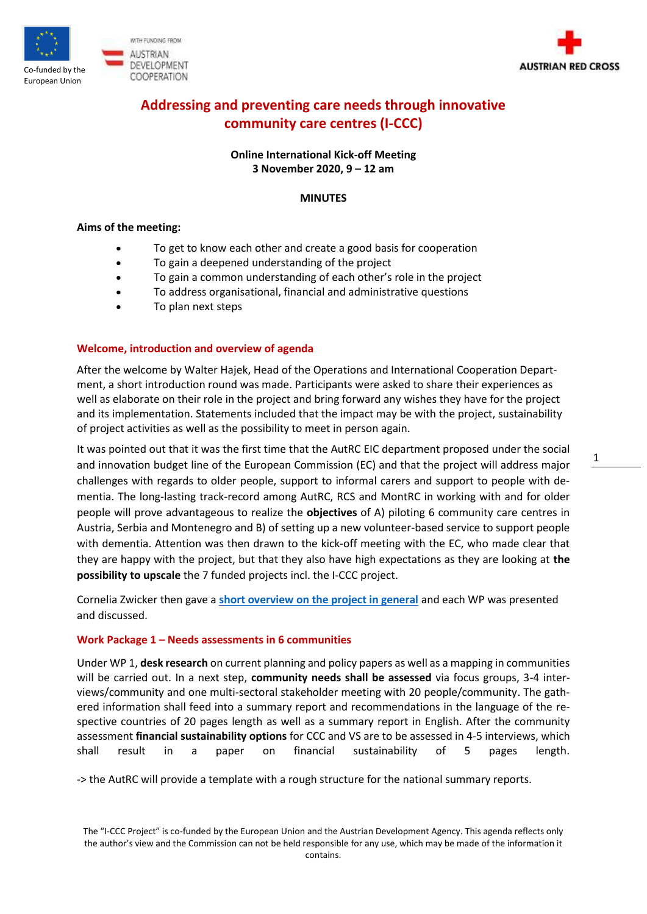



# **Addressing and preventing care needs through innovative community care centres (I-CCC)**

**Online International Kick-off Meeting 3 November 2020, 9 – 12 am**

## **MINUTES**

### **Aims of the meeting:**

- To get to know each other and create a good basis for cooperation
- To gain a deepened understanding of the project
- To gain a common understanding of each other's role in the project
- To address organisational, financial and administrative questions
- To plan next steps

# **Welcome, introduction and overview of agenda**

After the welcome by Walter Hajek, Head of the Operations and International Cooperation Department, a short introduction round was made. Participants were asked to share their experiences as well as elaborate on their role in the project and bring forward any wishes they have for the project and its implementation. Statements included that the impact may be with the project, sustainability of project activities as well as the possibility to meet in person again.

It was pointed out that it was the first time that the AutRC EIC department proposed under the social and innovation budget line of the European Commission (EC) and that the project will address major challenges with regards to older people, support to informal carers and support to people with dementia. The long-lasting track-record among AutRC, RCS and MontRC in working with and for older people will prove advantageous to realize the **objectives** of A) piloting 6 community care centres in Austria, Serbia and Montenegro and B) of setting up a new volunteer-based service to support people with dementia. Attention was then drawn to the kick-off meeting with the EC, who made clear that they are happy with the project, but that they also have high expectations as they are looking at **the possibility to upscale** the 7 funded projects incl. the I-CCC project.

Cornelia Zwicker then gave a **[short overview on the project in general](https://roteskreuzat.sharepoint.com/:p:/s/oerk/ic/EWJ6Wo-ERglKrmJkSVqLl2QB0NrmCp0oFaeyYDQjYx_0tg?e=a6UXxN)** and each WP was presented and discussed.

# **Work Package 1 – Needs assessments in 6 communities**

Under WP 1, **desk research** on current planning and policy papers as well as a mapping in communities will be carried out. In a next step, **community needs shall be assessed** via focus groups, 3-4 interviews/community and one multi-sectoral stakeholder meeting with 20 people/community. The gathered information shall feed into a summary report and recommendations in the language of the respective countries of 20 pages length as well as a summary report in English. After the community assessment **financial sustainability options** for CCC and VS are to be assessed in 4-5 interviews, which shall result in a paper on financial sustainability of 5 pages length.

-> the AutRC will provide a template with a rough structure for the national summary reports.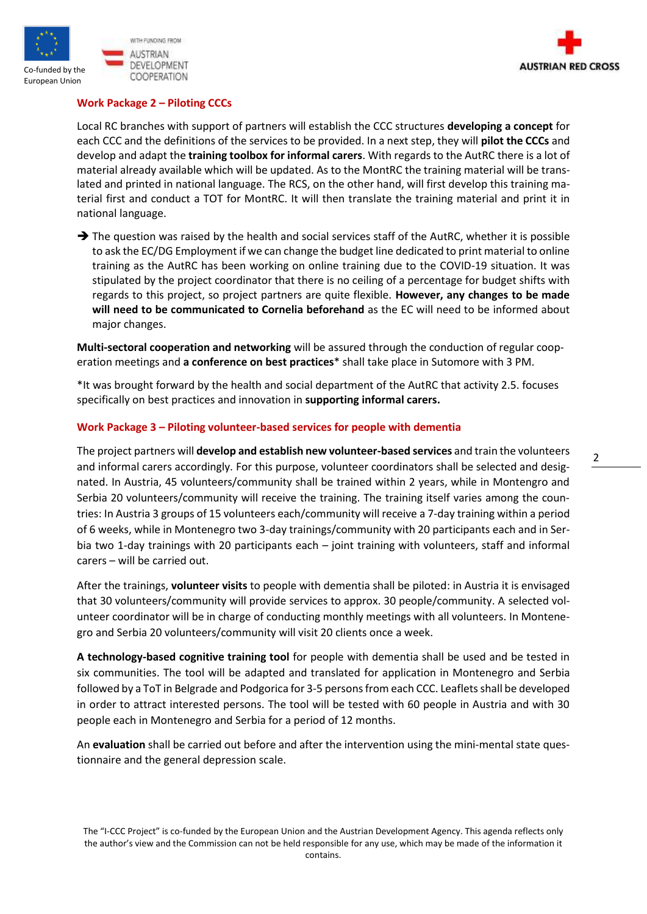





# **Work Package 2 – Piloting CCCs**

Local RC branches with support of partners will establish the CCC structures **developing a concept** for each CCC and the definitions of the services to be provided. In a next step, they will **pilot the CCCs** and develop and adapt the **training toolbox for informal carers**. With regards to the AutRC there is a lot of material already available which will be updated. As to the MontRC the training material will be translated and printed in national language. The RCS, on the other hand, will first develop this training material first and conduct a TOT for MontRC. It will then translate the training material and print it in national language.

 $\rightarrow$  The question was raised by the health and social services staff of the AutRC, whether it is possible to ask the EC/DG Employment if we can change the budget line dedicated to print material to online training as the AutRC has been working on online training due to the COVID-19 situation. It was stipulated by the project coordinator that there is no ceiling of a percentage for budget shifts with regards to this project, so project partners are quite flexible. **However, any changes to be made will need to be communicated to Cornelia beforehand** as the EC will need to be informed about major changes.

**Multi-sectoral cooperation and networking** will be assured through the conduction of regular cooperation meetings and **a conference on best practices**\* shall take place in Sutomore with 3 PM.

\*It was brought forward by the health and social department of the AutRC that activity 2.5. focuses specifically on best practices and innovation in **supporting informal carers.**

# **Work Package 3 – Piloting volunteer-based services for people with dementia**

The project partners will **develop and establish new volunteer-based services** and train the volunteers and informal carers accordingly. For this purpose, volunteer coordinators shall be selected and designated. In Austria, 45 volunteers/community shall be trained within 2 years, while in Montengro and Serbia 20 volunteers/community will receive the training. The training itself varies among the countries: In Austria 3 groups of 15 volunteers each/community will receive a 7-day training within a period of 6 weeks, while in Montenegro two 3-day trainings/community with 20 participants each and in Serbia two 1-day trainings with 20 participants each – joint training with volunteers, staff and informal carers – will be carried out.

After the trainings, **volunteer visits** to people with dementia shall be piloted: in Austria it is envisaged that 30 volunteers/community will provide services to approx. 30 people/community. A selected volunteer coordinator will be in charge of conducting monthly meetings with all volunteers. In Montenegro and Serbia 20 volunteers/community will visit 20 clients once a week.

**A technology-based cognitive training tool** for people with dementia shall be used and be tested in six communities. The tool will be adapted and translated for application in Montenegro and Serbia followed by a ToT in Belgrade and Podgorica for 3-5 persons from each CCC. Leaflets shall be developed in order to attract interested persons. The tool will be tested with 60 people in Austria and with 30 people each in Montenegro and Serbia for a period of 12 months.

An **evaluation** shall be carried out before and after the intervention using the mini-mental state questionnaire and the general depression scale.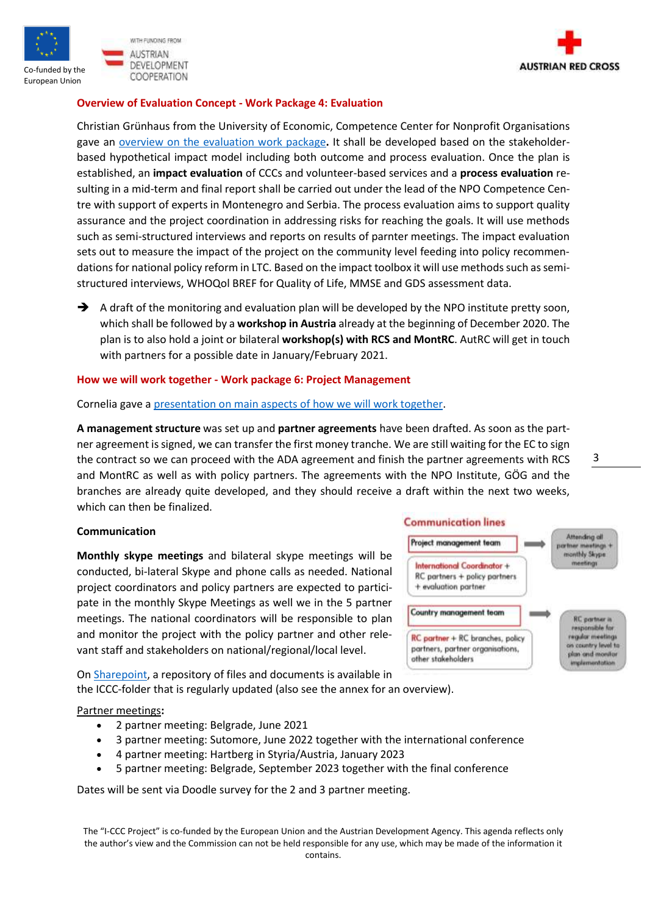





## **Overview of Evaluation Concept - Work Package 4: Evaluation**

Christian Grünhaus from the University of Economic, Competence Center for Nonprofit Organisations gave an [overview on the evaluation work package](https://roteskreuzat.sharepoint.com/:b:/s/oerk/ic/ERcx5ub6TNdOncTfu3NRt8wBLf80IufrpycKbYOCPeQVWA?e=wetpCD)**.** It shall be developed based on the stakeholderbased hypothetical impact model including both outcome and process evaluation. Once the plan is established, an **impact evaluation** of CCCs and volunteer-based services and a **process evaluation** resulting in a mid-term and final report shall be carried out under the lead of the NPO Competence Centre with support of experts in Montenegro and Serbia. The process evaluation aims to support quality assurance and the project coordination in addressing risks for reaching the goals. It will use methods such as semi-structured interviews and reports on results of parnter meetings. The impact evaluation sets out to measure the impact of the project on the community level feeding into policy recommendations for national policy reform in LTC. Based on the impact toolbox it will use methods such as semistructured interviews, WHOQol BREF for Quality of Life, MMSE and GDS assessment data.

 $\rightarrow$  A draft of the monitoring and evaluation plan will be developed by the NPO institute pretty soon, which shall be followed by a **workshop in Austria** already at the beginning of December 2020. The plan is to also hold a joint or bilateral **workshop(s) with RCS and MontRC**. AutRC will get in touch with partners for a possible date in January/February 2021.

#### **How we will work together - Work package 6: Project Management**

#### Cornelia gave [a presentation on main aspects](https://roteskreuzat.sharepoint.com/:p:/s/oerk/ic/EcTNA8ziA69MoXtvfu5voNQBkVl4plpkP2Bp-3PMWXpSYA?e=N9SJyX) of how we will work together.

**A management structure** was set up and **partner agreements** have been drafted. As soon as the partner agreement is signed, we can transfer the first money tranche. We are still waiting for the EC to sign the contract so we can proceed with the ADA agreement and finish the partner agreements with RCS and MontRC as well as with policy partners. The agreements with the NPO Institute, GÖG and the branches are already quite developed, and they should receive a draft within the next two weeks, which can then be finalized.

#### **Communication**

**Monthly skype meetings** and bilateral skype meetings will be conducted, bi-lateral Skype and phone calls as needed. National project coordinators and policy partners are expected to participate in the monthly Skype Meetings as well we in the 5 partner meetings. The national coordinators will be responsible to plan and monitor the project with the policy partner and other relevant staff and stakeholders on national/regional/local level.

On [Sharepoint,](https://roteskreuzat.sharepoint.com/:f:/s/oerk/ic/EjyGRkXobypGuAUq2A9kbSQB4ocEpDpyu0dzn3db6UgcSg?e=JwgWRN) a repository of files and documents is available in the ICCC-folder that is regularly updated (also see the annex for an overview).



Partner meetings**:**

- 2 partner meeting: Belgrade, June 2021
- 3 partner meeting: Sutomore, June 2022 together with the international conference
- 4 partner meeting: Hartberg in Styria/Austria, January 2023
- 5 partner meeting: Belgrade, September 2023 together with the final conference

Dates will be sent via Doodle survey for the 2 and 3 partner meeting.

The "I-CCC Project" is co-funded by the European Union and the Austrian Development Agency. This agenda reflects only the author's view and the Commission can not be held responsible for any use, which may be made of the information it contains.

3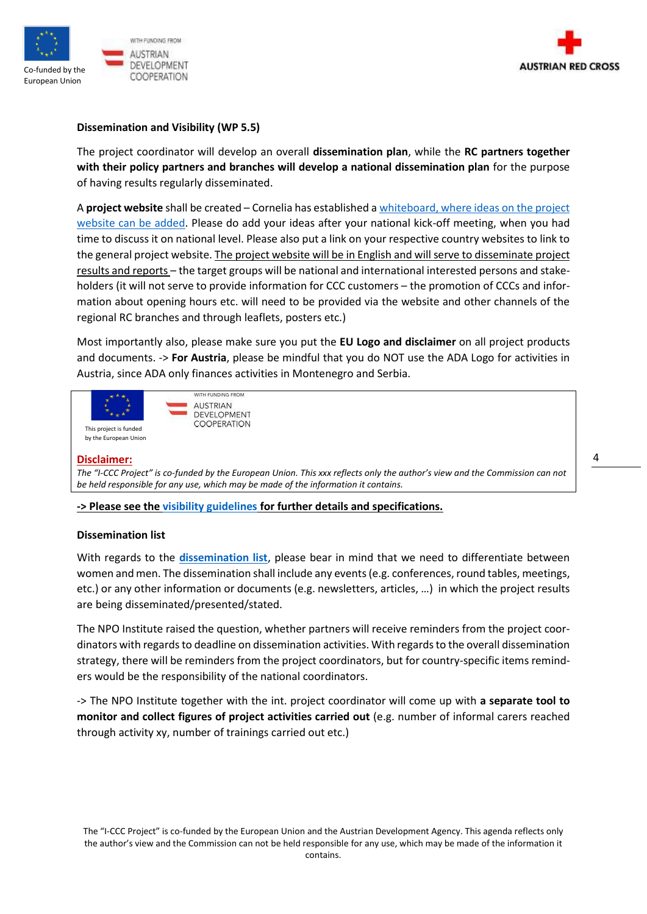



## **Dissemination and Visibility (WP 5.5)**

The project coordinator will develop an overall **dissemination plan**, while the **RC partners together with their policy partners and branches will develop a national dissemination plan** for the purpose of having results regularly disseminated.

A **project website** shall be created – Cornelia has established [a whiteboard, where ideas on the project](https://miro.com/app/board/o9J_kg9XKpQ=/)  [website can be added.](https://miro.com/app/board/o9J_kg9XKpQ=/) Please do add your ideas after your national kick-off meeting, when you had time to discuss it on national level. Please also put a link on your respective country websites to link to the general project website. The project website will be in English and will serve to disseminate project results and reports – the target groups will be national and international interested persons and stakeholders (it will not serve to provide information for CCC customers – the promotion of CCCs and information about opening hours etc. will need to be provided via the website and other channels of the regional RC branches and through leaflets, posters etc.)

Most importantly also, please make sure you put the **EU Logo and disclaimer** on all project products and documents. -> **For Austria**, please be mindful that you do NOT use the ADA Logo for activities in Austria, since ADA only finances activities in Montenegro and Serbia.



#### **Disclaimer:**

*The "I-CCC Project" is co-funded by the European Union. This xxx reflects only the author's view and the Commission can not be held responsible for any use, which may be made of the information it contains.*

**-> Please see the [visibility guidelines](https://roteskreuzat.sharepoint.com/:w:/s/oerk/ic/EaOBQPF04rpBk2wOK8T4jrwBPNXzolmnSKwOEej0uESITw?e=1Of2gL) for further details and specifications.** 

#### **Dissemination list**

With regards to the **[dissemination list](https://roteskreuzat.sharepoint.com/:x:/s/oerk/ic/EckytEpUZmVOiXxPueBfAQEBq0dzmA1TqWp6uHtmNGFePQ?e=KdFqMV)**, please bear in mind that we need to differentiate between women and men. The dissemination shall include any events (e.g. conferences, round tables, meetings, etc.) or any other information or documents (e.g. newsletters, articles, …) in which the project results are being disseminated/presented/stated.

The NPO Institute raised the question, whether partners will receive reminders from the project coordinators with regards to deadline on dissemination activities. With regards to the overall dissemination strategy, there will be reminders from the project coordinators, but for country-specific items reminders would be the responsibility of the national coordinators.

-> The NPO Institute together with the int. project coordinator will come up with **a separate tool to monitor and collect figures of project activities carried out** (e.g. number of informal carers reached through activity xy, number of trainings carried out etc.)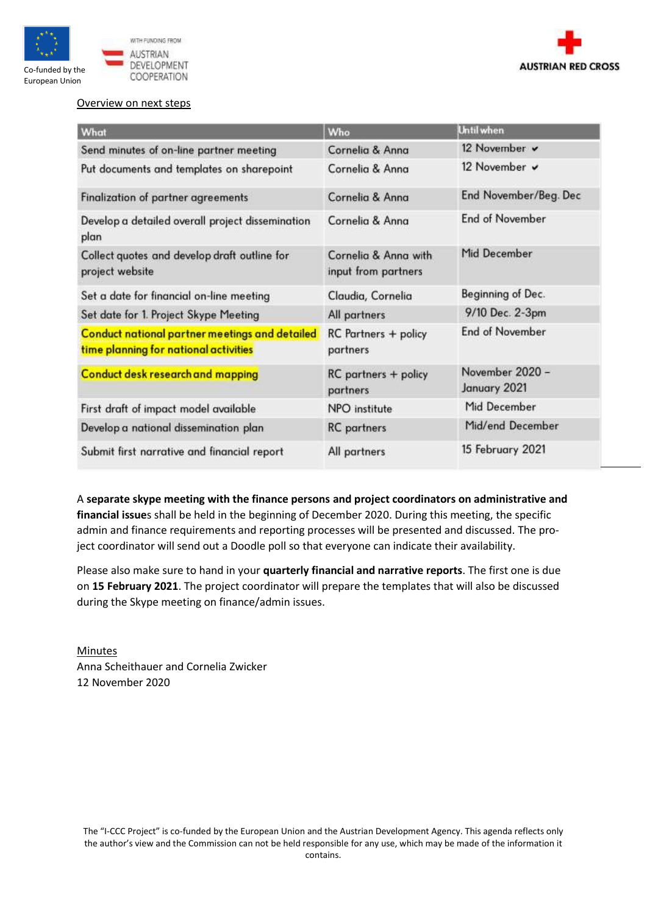



# Overview on next steps

| What                                                                                           | Who                                         | <b>Until when</b>               |
|------------------------------------------------------------------------------------------------|---------------------------------------------|---------------------------------|
| Send minutes of on-line partner meeting                                                        | Cornelia & Anna                             | 12 November v                   |
| Put documents and templates on sharepoint                                                      | Cornelia & Anna                             | 12 November v                   |
| Finalization of partner agreements                                                             | Cornelia & Anna                             | End November/Beg. Dec           |
| Develop a detailed overall project dissemination<br>plan                                       | Cornelia & Anna                             | <b>End of November</b>          |
| Collect quotes and develop draft outline for<br>project website                                | Cornelia & Anna with<br>input from partners | Mid December                    |
| Set a date for financial on-line meeting                                                       | Claudia, Cornelia                           | Beginning of Dec.               |
| Set date for 1. Project Skype Meeting                                                          | All partners                                | 9/10 Dec. 2-3pm                 |
| <b>Conduct national partner meetings and detailed</b><br>time planning for national activities | <b>RC</b> Partners + policy<br>partners     | End of November                 |
| <b>Conduct desk research and mapping</b>                                                       | RC partners + policy<br>partners            | November 2020 -<br>January 2021 |
| First draft of impact model available                                                          | NPO institute                               | Mid December                    |
| Develop a national dissemination plan                                                          | <b>RC</b> partners                          | Mid/end December                |
| Submit first narrative and financial report                                                    | All partners                                | 15 February 2021                |

A **separate skype meeting with the finance persons and project coordinators on administrative and financial issue**s shall be held in the beginning of December 2020. During this meeting, the specific admin and finance requirements and reporting processes will be presented and discussed. The project coordinator will send out a Doodle poll so that everyone can indicate their availability.

Please also make sure to hand in your **quarterly financial and narrative reports**. The first one is due on **15 February 2021**. The project coordinator will prepare the templates that will also be discussed during the Skype meeting on finance/admin issues.

Minutes Anna Scheithauer and Cornelia Zwicker 12 November 2020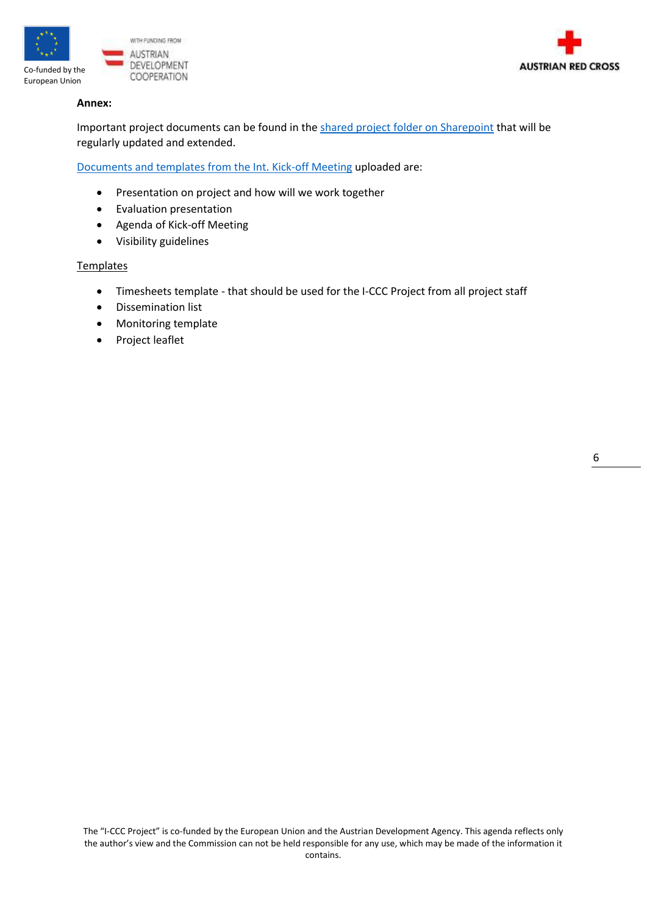



# **Annex:**

Important project documents can be found in th[e shared project folder on Sharepoint](https://roteskreuzat.sharepoint.com/:f:/s/oerk/ic/EjyGRkXobypGuAUq2A9kbSQB4ocEpDpyu0dzn3db6UgcSg?e=EiZ6Wi) that will be regularly updated and extended.

[Documents and templates from the Int. Kick-off Meeting](https://roteskreuzat.sharepoint.com/:f:/s/oerk/ic/EinDFB2c2vlOumbRbjXlWAkBN3hGu9Sg-fLtBluAAwxTkA?e=ABuA3d) uploaded are:

- Presentation on project and how will we work together
- Evaluation presentation
- Agenda of Kick-off Meeting
- Visibility guidelines

# **Templates**

- Timesheets template that should be used for the I-CCC Project from all project staff
- Dissemination list
- Monitoring template
- Project leaflet